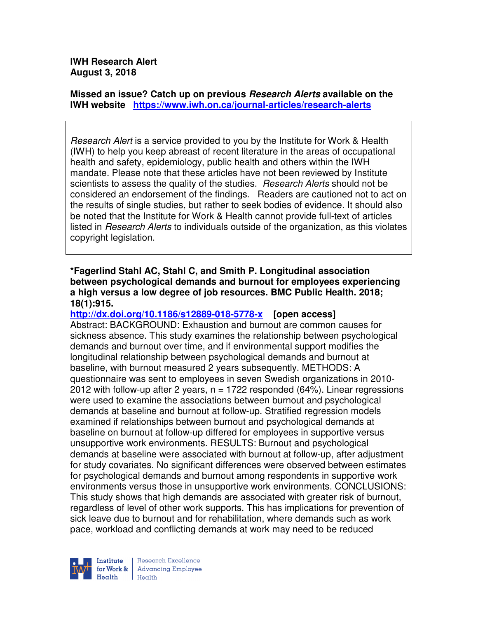**Missed an issue? Catch up on previous Research Alerts available on the IWH website https://www.iwh.on.ca/journal-articles/research-alerts** 

Research Alert is a service provided to you by the Institute for Work & Health (IWH) to help you keep abreast of recent literature in the areas of occupational health and safety, epidemiology, public health and others within the IWH mandate. Please note that these articles have not been reviewed by Institute scientists to assess the quality of the studies. *Research Alerts* should not be considered an endorsement of the findings. Readers are cautioned not to act on the results of single studies, but rather to seek bodies of evidence. It should also be noted that the Institute for Work & Health cannot provide full-text of articles listed in Research Alerts to individuals outside of the organization, as this violates copyright legislation.

**\*Fagerlind Stahl AC, Stahl C, and Smith P. Longitudinal association between psychological demands and burnout for employees experiencing a high versus a low degree of job resources. BMC Public Health. 2018; 18(1):915.** 

**http://dx.doi.org/10.1186/s12889-018-5778-x [open access]** Abstract: BACKGROUND: Exhaustion and burnout are common causes for sickness absence. This study examines the relationship between psychological demands and burnout over time, and if environmental support modifies the longitudinal relationship between psychological demands and burnout at baseline, with burnout measured 2 years subsequently. METHODS: A questionnaire was sent to employees in seven Swedish organizations in 2010- 2012 with follow-up after 2 years,  $n = 1722$  responded (64%). Linear regressions were used to examine the associations between burnout and psychological demands at baseline and burnout at follow-up. Stratified regression models examined if relationships between burnout and psychological demands at baseline on burnout at follow-up differed for employees in supportive versus unsupportive work environments. RESULTS: Burnout and psychological demands at baseline were associated with burnout at follow-up, after adjustment for study covariates. No significant differences were observed between estimates for psychological demands and burnout among respondents in supportive work environments versus those in unsupportive work environments. CONCLUSIONS: This study shows that high demands are associated with greater risk of burnout, regardless of level of other work supports. This has implications for prevention of sick leave due to burnout and for rehabilitation, where demands such as work pace, workload and conflicting demands at work may need to be reduced

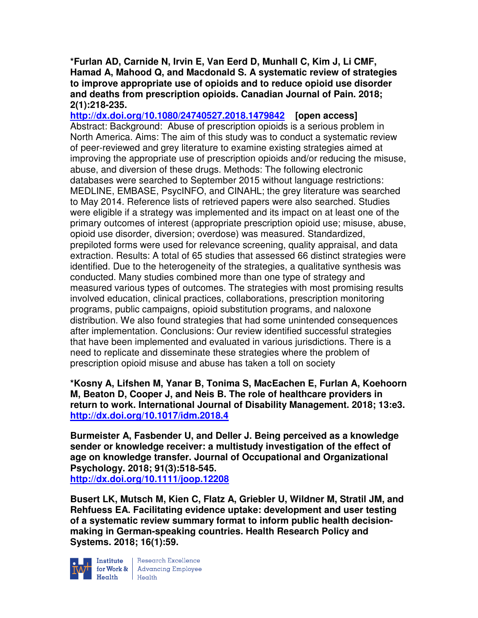**\*Furlan AD, Carnide N, Irvin E, Van Eerd D, Munhall C, Kim J, Li CMF, Hamad A, Mahood Q, and Macdonald S. A systematic review of strategies to improve appropriate use of opioids and to reduce opioid use disorder and deaths from prescription opioids. Canadian Journal of Pain. 2018; 2(1):218-235.** 

**http://dx.doi.org/10.1080/24740527.2018.1479842 [open access]** Abstract: Background: Abuse of prescription opioids is a serious problem in North America. Aims: The aim of this study was to conduct a systematic review of peer-reviewed and grey literature to examine existing strategies aimed at improving the appropriate use of prescription opioids and/or reducing the misuse, abuse, and diversion of these drugs. Methods: The following electronic databases were searched to September 2015 without language restrictions: MEDLINE, EMBASE, PsycINFO, and CINAHL; the grey literature was searched to May 2014. Reference lists of retrieved papers were also searched. Studies were eligible if a strategy was implemented and its impact on at least one of the primary outcomes of interest (appropriate prescription opioid use; misuse, abuse, opioid use disorder, diversion; overdose) was measured. Standardized, prepiloted forms were used for relevance screening, quality appraisal, and data extraction. Results: A total of 65 studies that assessed 66 distinct strategies were identified. Due to the heterogeneity of the strategies, a qualitative synthesis was conducted. Many studies combined more than one type of strategy and measured various types of outcomes. The strategies with most promising results involved education, clinical practices, collaborations, prescription monitoring programs, public campaigns, opioid substitution programs, and naloxone distribution. We also found strategies that had some unintended consequences after implementation. Conclusions: Our review identified successful strategies that have been implemented and evaluated in various jurisdictions. There is a need to replicate and disseminate these strategies where the problem of prescription opioid misuse and abuse has taken a toll on society

**\*Kosny A, Lifshen M, Yanar B, Tonima S, MacEachen E, Furlan A, Koehoorn M, Beaton D, Cooper J, and Neis B. The role of healthcare providers in return to work. International Journal of Disability Management. 2018; 13:e3. http://dx.doi.org/10.1017/idm.2018.4** 

**Burmeister A, Fasbender U, and Deller J. Being perceived as a knowledge sender or knowledge receiver: a multistudy investigation of the effect of age on knowledge transfer. Journal of Occupational and Organizational Psychology. 2018; 91(3):518-545. http://dx.doi.org/10.1111/joop.12208** 

**Busert LK, Mutsch M, Kien C, Flatz A, Griebler U, Wildner M, Stratil JM, and Rehfuess EA. Facilitating evidence uptake: development and user testing of a systematic review summary format to inform public health decisionmaking in German-speaking countries. Health Research Policy and Systems. 2018; 16(1):59.** 



**Institute** Research Excellence<br> **for Work &** Advancing Employee<br> **Health** Health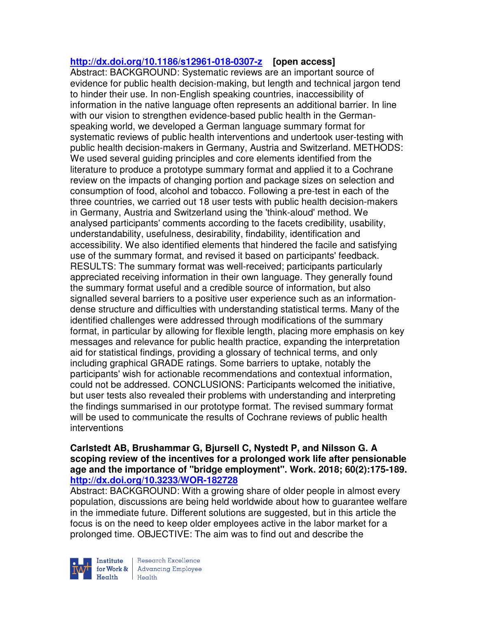# **http://dx.doi.org/10.1186/s12961-018-0307-z [open access]**

Abstract: BACKGROUND: Systematic reviews are an important source of evidence for public health decision-making, but length and technical jargon tend to hinder their use. In non-English speaking countries, inaccessibility of information in the native language often represents an additional barrier. In line with our vision to strengthen evidence-based public health in the Germanspeaking world, we developed a German language summary format for systematic reviews of public health interventions and undertook user-testing with public health decision-makers in Germany, Austria and Switzerland. METHODS: We used several guiding principles and core elements identified from the literature to produce a prototype summary format and applied it to a Cochrane review on the impacts of changing portion and package sizes on selection and consumption of food, alcohol and tobacco. Following a pre-test in each of the three countries, we carried out 18 user tests with public health decision-makers in Germany, Austria and Switzerland using the 'think-aloud' method. We analysed participants' comments according to the facets credibility, usability, understandability, usefulness, desirability, findability, identification and accessibility. We also identified elements that hindered the facile and satisfying use of the summary format, and revised it based on participants' feedback. RESULTS: The summary format was well-received; participants particularly appreciated receiving information in their own language. They generally found the summary format useful and a credible source of information, but also signalled several barriers to a positive user experience such as an informationdense structure and difficulties with understanding statistical terms. Many of the identified challenges were addressed through modifications of the summary format, in particular by allowing for flexible length, placing more emphasis on key messages and relevance for public health practice, expanding the interpretation aid for statistical findings, providing a glossary of technical terms, and only including graphical GRADE ratings. Some barriers to uptake, notably the participants' wish for actionable recommendations and contextual information, could not be addressed. CONCLUSIONS: Participants welcomed the initiative, but user tests also revealed their problems with understanding and interpreting the findings summarised in our prototype format. The revised summary format will be used to communicate the results of Cochrane reviews of public health interventions

## **Carlstedt AB, Brushammar G, Bjursell C, Nystedt P, and Nilsson G. A scoping review of the incentives for a prolonged work life after pensionable age and the importance of "bridge employment". Work. 2018; 60(2):175-189. http://dx.doi.org/10.3233/WOR-182728**

Abstract: BACKGROUND: With a growing share of older people in almost every population, discussions are being held worldwide about how to guarantee welfare in the immediate future. Different solutions are suggested, but in this article the focus is on the need to keep older employees active in the labor market for a prolonged time. OBJECTIVE: The aim was to find out and describe the



Research Excellence **Institute** Research Excellence<br> **For Work &**<br>
Morth Harlth Harlth  $H_{\text{eath}}$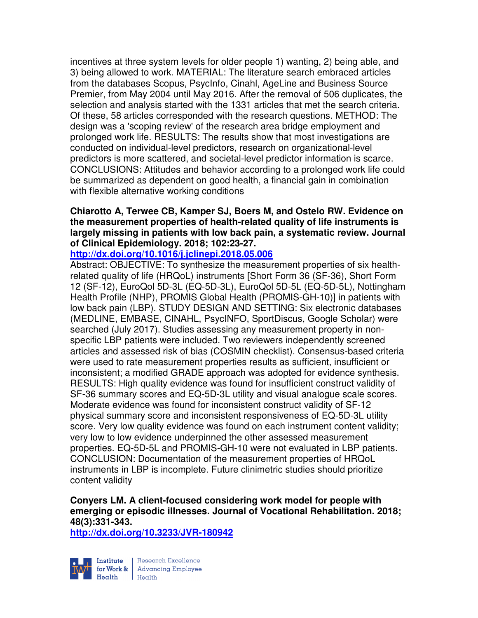incentives at three system levels for older people 1) wanting, 2) being able, and 3) being allowed to work. MATERIAL: The literature search embraced articles from the databases Scopus, PsycInfo, Cinahl, AgeLine and Business Source Premier, from May 2004 until May 2016. After the removal of 506 duplicates, the selection and analysis started with the 1331 articles that met the search criteria. Of these, 58 articles corresponded with the research questions. METHOD: The design was a 'scoping review' of the research area bridge employment and prolonged work life. RESULTS: The results show that most investigations are conducted on individual-level predictors, research on organizational-level predictors is more scattered, and societal-level predictor information is scarce. CONCLUSIONS: Attitudes and behavior according to a prolonged work life could be summarized as dependent on good health, a financial gain in combination with flexible alternative working conditions

## **Chiarotto A, Terwee CB, Kamper SJ, Boers M, and Ostelo RW. Evidence on the measurement properties of health-related quality of life instruments is largely missing in patients with low back pain, a systematic review. Journal of Clinical Epidemiology. 2018; 102:23-27.**

## **http://dx.doi.org/10.1016/j.jclinepi.2018.05.006**

Abstract: OBJECTIVE: To synthesize the measurement properties of six healthrelated quality of life (HRQoL) instruments [Short Form 36 (SF-36), Short Form 12 (SF-12), EuroQol 5D-3L (EQ-5D-3L), EuroQol 5D-5L (EQ-5D-5L), Nottingham Health Profile (NHP), PROMIS Global Health (PROMIS-GH-10)] in patients with low back pain (LBP). STUDY DESIGN AND SETTING: Six electronic databases (MEDLINE, EMBASE, CINAHL, PsycINFO, SportDiscus, Google Scholar) were searched (July 2017). Studies assessing any measurement property in nonspecific LBP patients were included. Two reviewers independently screened articles and assessed risk of bias (COSMIN checklist). Consensus-based criteria were used to rate measurement properties results as sufficient, insufficient or inconsistent; a modified GRADE approach was adopted for evidence synthesis. RESULTS: High quality evidence was found for insufficient construct validity of SF-36 summary scores and EQ-5D-3L utility and visual analogue scale scores. Moderate evidence was found for inconsistent construct validity of SF-12 physical summary score and inconsistent responsiveness of EQ-5D-3L utility score. Very low quality evidence was found on each instrument content validity; very low to low evidence underpinned the other assessed measurement properties. EQ-5D-5L and PROMIS-GH-10 were not evaluated in LBP patients. CONCLUSION: Documentation of the measurement properties of HRQoL instruments in LBP is incomplete. Future clinimetric studies should prioritize content validity

## **Conyers LM. A client-focused considering work model for people with emerging or episodic illnesses. Journal of Vocational Rehabilitation. 2018; 48(3):331-343.**

**http://dx.doi.org/10.3233/JVR-180942** 



Research Excellence for Work & | Advancing Employee Health Health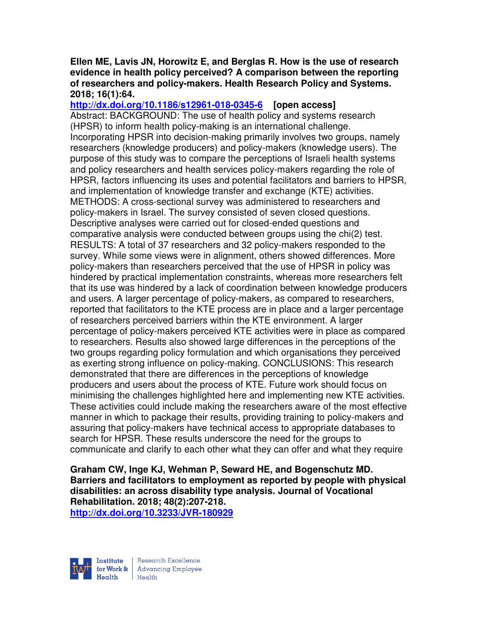## **Ellen ME, Lavis JN, Horowitz E, and Berglas R. How is the use of research evidence in health policy perceived? A comparison between the reporting of researchers and policy-makers. Health Research Policy and Systems. 2018; 16(1):64.**

**http://dx.doi.org/10.1186/s12961-018-0345-6 [open access]** Abstract: BACKGROUND: The use of health policy and systems research (HPSR) to inform health policy-making is an international challenge. Incorporating HPSR into decision-making primarily involves two groups, namely researchers (knowledge producers) and policy-makers (knowledge users). The purpose of this study was to compare the perceptions of Israeli health systems and policy researchers and health services policy-makers regarding the role of HPSR, factors influencing its uses and potential facilitators and barriers to HPSR, and implementation of knowledge transfer and exchange (KTE) activities. METHODS: A cross-sectional survey was administered to researchers and policy-makers in Israel. The survey consisted of seven closed questions. Descriptive analyses were carried out for closed-ended questions and comparative analysis were conducted between groups using the chi(2) test. RESULTS: A total of 37 researchers and 32 policy-makers responded to the survey. While some views were in alignment, others showed differences. More policy-makers than researchers perceived that the use of HPSR in policy was hindered by practical implementation constraints, whereas more researchers felt that its use was hindered by a lack of coordination between knowledge producers and users. A larger percentage of policy-makers, as compared to researchers, reported that facilitators to the KTE process are in place and a larger percentage of researchers perceived barriers within the KTE environment. A larger percentage of policy-makers perceived KTE activities were in place as compared to researchers. Results also showed large differences in the perceptions of the two groups regarding policy formulation and which organisations they perceived as exerting strong influence on policy-making. CONCLUSIONS: This research demonstrated that there are differences in the perceptions of knowledge producers and users about the process of KTE. Future work should focus on minimising the challenges highlighted here and implementing new KTE activities. These activities could include making the researchers aware of the most effective manner in which to package their results, providing training to policy-makers and assuring that policy-makers have technical access to appropriate databases to search for HPSR. These results underscore the need for the groups to communicate and clarify to each other what they can offer and what they require

**Graham CW, Inge KJ, Wehman P, Seward HE, and Bogenschutz MD. Barriers and facilitators to employment as reported by people with physical disabilities: an across disability type analysis. Journal of Vocational Rehabilitation. 2018; 48(2):207-218. http://dx.doi.org/10.3233/JVR-180929** 

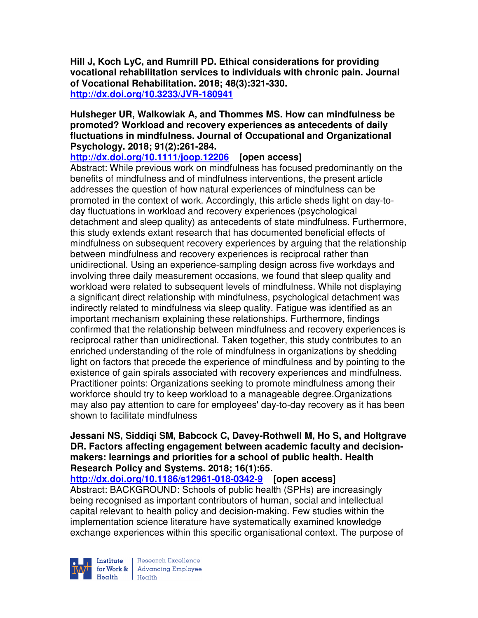**Hill J, Koch LyC, and Rumrill PD. Ethical considerations for providing vocational rehabilitation services to individuals with chronic pain. Journal of Vocational Rehabilitation. 2018; 48(3):321-330. http://dx.doi.org/10.3233/JVR-180941** 

## **Hulsheger UR, Walkowiak A, and Thommes MS. How can mindfulness be promoted? Workload and recovery experiences as antecedents of daily fluctuations in mindfulness. Journal of Occupational and Organizational Psychology. 2018; 91(2):261-284.**

**http://dx.doi.org/10.1111/joop.12206 [open access]**

Abstract: While previous work on mindfulness has focused predominantly on the benefits of mindfulness and of mindfulness interventions, the present article addresses the question of how natural experiences of mindfulness can be promoted in the context of work. Accordingly, this article sheds light on day-today fluctuations in workload and recovery experiences (psychological detachment and sleep quality) as antecedents of state mindfulness. Furthermore, this study extends extant research that has documented beneficial effects of mindfulness on subsequent recovery experiences by arguing that the relationship between mindfulness and recovery experiences is reciprocal rather than unidirectional. Using an experience-sampling design across five workdays and involving three daily measurement occasions, we found that sleep quality and workload were related to subsequent levels of mindfulness. While not displaying a significant direct relationship with mindfulness, psychological detachment was indirectly related to mindfulness via sleep quality. Fatigue was identified as an important mechanism explaining these relationships. Furthermore, findings confirmed that the relationship between mindfulness and recovery experiences is reciprocal rather than unidirectional. Taken together, this study contributes to an enriched understanding of the role of mindfulness in organizations by shedding light on factors that precede the experience of mindfulness and by pointing to the existence of gain spirals associated with recovery experiences and mindfulness. Practitioner points: Organizations seeking to promote mindfulness among their workforce should try to keep workload to a manageable degree.Organizations may also pay attention to care for employees' day-to-day recovery as it has been shown to facilitate mindfulness

## **Jessani NS, Siddiqi SM, Babcock C, Davey-Rothwell M, Ho S, and Holtgrave DR. Factors affecting engagement between academic faculty and decisionmakers: learnings and priorities for a school of public health. Health Research Policy and Systems. 2018; 16(1):65.**

**http://dx.doi.org/10.1186/s12961-018-0342-9 [open access]**

Abstract: BACKGROUND: Schools of public health (SPHs) are increasingly being recognised as important contributors of human, social and intellectual capital relevant to health policy and decision-making. Few studies within the implementation science literature have systematically examined knowledge exchange experiences within this specific organisational context. The purpose of



Research Excellence **Institute** Research Excellence<br> **for Work &**<br>
Advancing Employee Health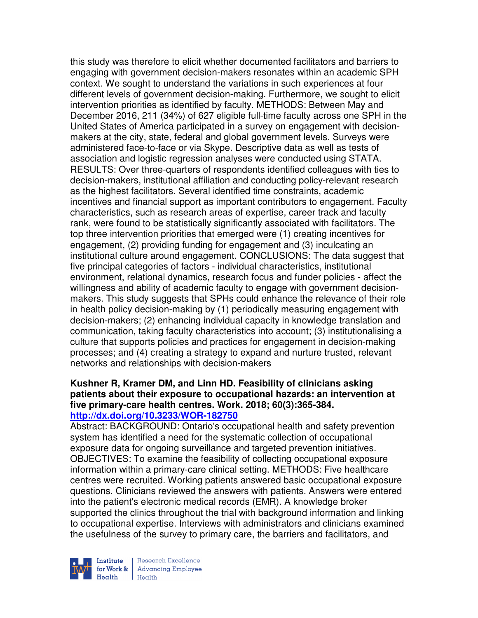this study was therefore to elicit whether documented facilitators and barriers to engaging with government decision-makers resonates within an academic SPH context. We sought to understand the variations in such experiences at four different levels of government decision-making. Furthermore, we sought to elicit intervention priorities as identified by faculty. METHODS: Between May and December 2016, 211 (34%) of 627 eligible full-time faculty across one SPH in the United States of America participated in a survey on engagement with decisionmakers at the city, state, federal and global government levels. Surveys were administered face-to-face or via Skype. Descriptive data as well as tests of association and logistic regression analyses were conducted using STATA. RESULTS: Over three-quarters of respondents identified colleagues with ties to decision-makers, institutional affiliation and conducting policy-relevant research as the highest facilitators. Several identified time constraints, academic incentives and financial support as important contributors to engagement. Faculty characteristics, such as research areas of expertise, career track and faculty rank, were found to be statistically significantly associated with facilitators. The top three intervention priorities that emerged were (1) creating incentives for engagement, (2) providing funding for engagement and (3) inculcating an institutional culture around engagement. CONCLUSIONS: The data suggest that five principal categories of factors - individual characteristics, institutional environment, relational dynamics, research focus and funder policies - affect the willingness and ability of academic faculty to engage with government decisionmakers. This study suggests that SPHs could enhance the relevance of their role in health policy decision-making by (1) periodically measuring engagement with decision-makers; (2) enhancing individual capacity in knowledge translation and communication, taking faculty characteristics into account; (3) institutionalising a culture that supports policies and practices for engagement in decision-making processes; and (4) creating a strategy to expand and nurture trusted, relevant networks and relationships with decision-makers

#### **Kushner R, Kramer DM, and Linn HD. Feasibility of clinicians asking patients about their exposure to occupational hazards: an intervention at five primary-care health centres. Work. 2018; 60(3):365-384. http://dx.doi.org/10.3233/WOR-182750**

# Abstract: BACKGROUND: Ontario's occupational health and safety prevention system has identified a need for the systematic collection of occupational exposure data for ongoing surveillance and targeted prevention initiatives. OBJECTIVES: To examine the feasibility of collecting occupational exposure information within a primary-care clinical setting. METHODS: Five healthcare centres were recruited. Working patients answered basic occupational exposure

questions. Clinicians reviewed the answers with patients. Answers were entered into the patient's electronic medical records (EMR). A knowledge broker supported the clinics throughout the trial with background information and linking to occupational expertise. Interviews with administrators and clinicians examined the usefulness of the survey to primary care, the barriers and facilitators, and



Research Excellence for Work & | Advancing Employee Health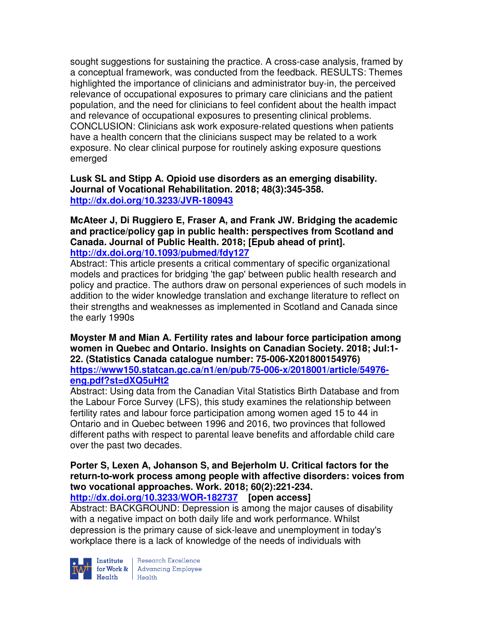sought suggestions for sustaining the practice. A cross-case analysis, framed by a conceptual framework, was conducted from the feedback. RESULTS: Themes highlighted the importance of clinicians and administrator buy-in, the perceived relevance of occupational exposures to primary care clinicians and the patient population, and the need for clinicians to feel confident about the health impact and relevance of occupational exposures to presenting clinical problems. CONCLUSION: Clinicians ask work exposure-related questions when patients have a health concern that the clinicians suspect may be related to a work exposure. No clear clinical purpose for routinely asking exposure questions emerged

**Lusk SL and Stipp A. Opioid use disorders as an emerging disability. Journal of Vocational Rehabilitation. 2018; 48(3):345-358. http://dx.doi.org/10.3233/JVR-180943** 

**McAteer J, Di Ruggiero E, Fraser A, and Frank JW. Bridging the academic and practice/policy gap in public health: perspectives from Scotland and Canada. Journal of Public Health. 2018; [Epub ahead of print]. http://dx.doi.org/10.1093/pubmed/fdy127** 

Abstract: This article presents a critical commentary of specific organizational models and practices for bridging 'the gap' between public health research and policy and practice. The authors draw on personal experiences of such models in addition to the wider knowledge translation and exchange literature to reflect on their strengths and weaknesses as implemented in Scotland and Canada since the early 1990s

**Moyster M and Mian A. Fertility rates and labour force participation among women in Quebec and Ontario. Insights on Canadian Society. 2018; Jul:1- 22. (Statistics Canada catalogue number: 75-006-X201800154976) https://www150.statcan.gc.ca/n1/en/pub/75-006-x/2018001/article/54976 eng.pdf?st=dXQ5uHt2** 

Abstract: Using data from the Canadian Vital Statistics Birth Database and from the Labour Force Survey (LFS), this study examines the relationship between fertility rates and labour force participation among women aged 15 to 44 in Ontario and in Quebec between 1996 and 2016, two provinces that followed different paths with respect to parental leave benefits and affordable child care over the past two decades.

**Porter S, Lexen A, Johanson S, and Bejerholm U. Critical factors for the return-to-work process among people with affective disorders: voices from two vocational approaches. Work. 2018; 60(2):221-234.** 

**http://dx.doi.org/10.3233/WOR-182737 [open access]**

Abstract: BACKGROUND: Depression is among the major causes of disability with a negative impact on both daily life and work performance. Whilst depression is the primary cause of sick-leave and unemployment in today's workplace there is a lack of knowledge of the needs of individuals with



Institute Research Excellence<br>
for Work & Advancing Employee<br>
Health Health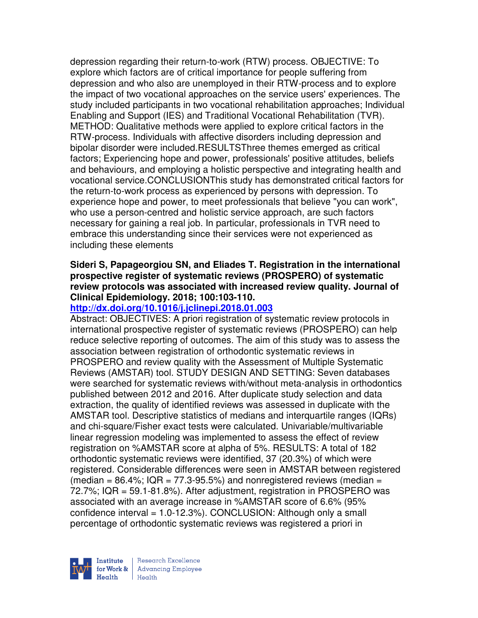depression regarding their return-to-work (RTW) process. OBJECTIVE: To explore which factors are of critical importance for people suffering from depression and who also are unemployed in their RTW-process and to explore the impact of two vocational approaches on the service users' experiences. The study included participants in two vocational rehabilitation approaches; Individual Enabling and Support (IES) and Traditional Vocational Rehabilitation (TVR). METHOD: Qualitative methods were applied to explore critical factors in the RTW-process. Individuals with affective disorders including depression and bipolar disorder were included.RESULTSThree themes emerged as critical factors; Experiencing hope and power, professionals' positive attitudes, beliefs and behaviours, and employing a holistic perspective and integrating health and vocational service.CONCLUSIONThis study has demonstrated critical factors for the return-to-work process as experienced by persons with depression. To experience hope and power, to meet professionals that believe "you can work", who use a person-centred and holistic service approach, are such factors necessary for gaining a real job. In particular, professionals in TVR need to embrace this understanding since their services were not experienced as including these elements

## **Sideri S, Papageorgiou SN, and Eliades T. Registration in the international prospective register of systematic reviews (PROSPERO) of systematic review protocols was associated with increased review quality. Journal of Clinical Epidemiology. 2018; 100:103-110.**

## **http://dx.doi.org/10.1016/j.jclinepi.2018.01.003**

Abstract: OBJECTIVES: A priori registration of systematic review protocols in international prospective register of systematic reviews (PROSPERO) can help reduce selective reporting of outcomes. The aim of this study was to assess the association between registration of orthodontic systematic reviews in PROSPERO and review quality with the Assessment of Multiple Systematic Reviews (AMSTAR) tool. STUDY DESIGN AND SETTING: Seven databases were searched for systematic reviews with/without meta-analysis in orthodontics published between 2012 and 2016. After duplicate study selection and data extraction, the quality of identified reviews was assessed in duplicate with the AMSTAR tool. Descriptive statistics of medians and interquartile ranges (IQRs) and chi-square/Fisher exact tests were calculated. Univariable/multivariable linear regression modeling was implemented to assess the effect of review registration on %AMSTAR score at alpha of 5%. RESULTS: A total of 182 orthodontic systematic reviews were identified, 37 (20.3%) of which were registered. Considerable differences were seen in AMSTAR between registered (median =  $86.4\%$ ; IQR =  $77.3-95.5\%$ ) and nonregistered reviews (median = 72.7%; IQR = 59.1-81.8%). After adjustment, registration in PROSPERO was associated with an average increase in %AMSTAR score of 6.6% (95% confidence interval = 1.0-12.3%). CONCLUSION: Although only a small percentage of orthodontic systematic reviews was registered a priori in



Research Excellence for Work & | Advancing Employee Health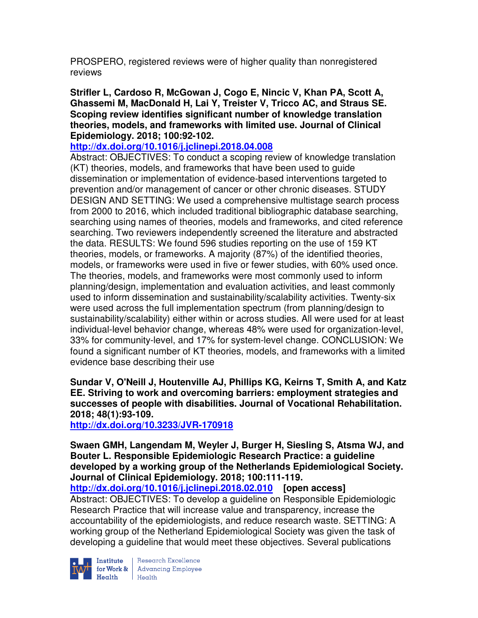PROSPERO, registered reviews were of higher quality than nonregistered reviews

**Strifler L, Cardoso R, McGowan J, Cogo E, Nincic V, Khan PA, Scott A, Ghassemi M, MacDonald H, Lai Y, Treister V, Tricco AC, and Straus SE. Scoping review identifies significant number of knowledge translation theories, models, and frameworks with limited use. Journal of Clinical Epidemiology. 2018; 100:92-102.** 

## **http://dx.doi.org/10.1016/j.jclinepi.2018.04.008**

Abstract: OBJECTIVES: To conduct a scoping review of knowledge translation (KT) theories, models, and frameworks that have been used to guide dissemination or implementation of evidence-based interventions targeted to prevention and/or management of cancer or other chronic diseases. STUDY DESIGN AND SETTING: We used a comprehensive multistage search process from 2000 to 2016, which included traditional bibliographic database searching, searching using names of theories, models and frameworks, and cited reference searching. Two reviewers independently screened the literature and abstracted the data. RESULTS: We found 596 studies reporting on the use of 159 KT theories, models, or frameworks. A majority (87%) of the identified theories, models, or frameworks were used in five or fewer studies, with 60% used once. The theories, models, and frameworks were most commonly used to inform planning/design, implementation and evaluation activities, and least commonly used to inform dissemination and sustainability/scalability activities. Twenty-six were used across the full implementation spectrum (from planning/design to sustainability/scalability) either within or across studies. All were used for at least individual-level behavior change, whereas 48% were used for organization-level, 33% for community-level, and 17% for system-level change. CONCLUSION: We found a significant number of KT theories, models, and frameworks with a limited evidence base describing their use

**Sundar V, O'Neill J, Houtenville AJ, Phillips KG, Keirns T, Smith A, and Katz EE. Striving to work and overcoming barriers: employment strategies and successes of people with disabilities. Journal of Vocational Rehabilitation. 2018; 48(1):93-109.** 

**http://dx.doi.org/10.3233/JVR-170918** 

**Swaen GMH, Langendam M, Weyler J, Burger H, Siesling S, Atsma WJ, and Bouter L. Responsible Epidemiologic Research Practice: a guideline developed by a working group of the Netherlands Epidemiological Society. Journal of Clinical Epidemiology. 2018; 100:111-119.** 

**http://dx.doi.org/10.1016/j.jclinepi.2018.02.010 [open access]** Abstract: OBJECTIVES: To develop a guideline on Responsible Epidemiologic Research Practice that will increase value and transparency, increase the accountability of the epidemiologists, and reduce research waste. SETTING: A working group of the Netherland Epidemiological Society was given the task of developing a guideline that would meet these objectives. Several publications



Institute Research Excellence<br>for Work & Advancing Employee<br>Health Health Health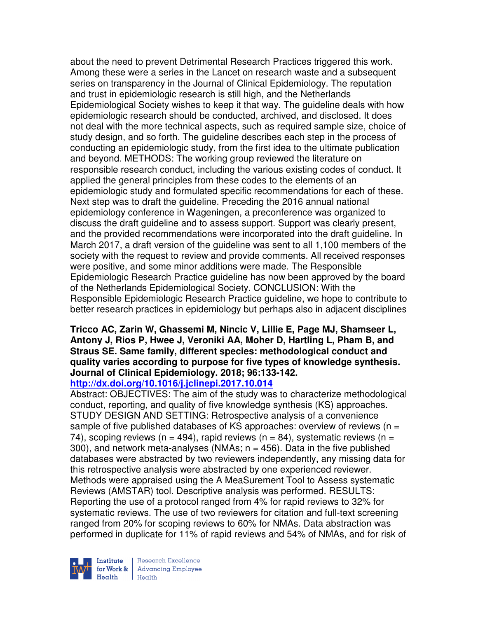about the need to prevent Detrimental Research Practices triggered this work. Among these were a series in the Lancet on research waste and a subsequent series on transparency in the Journal of Clinical Epidemiology. The reputation and trust in epidemiologic research is still high, and the Netherlands Epidemiological Society wishes to keep it that way. The guideline deals with how epidemiologic research should be conducted, archived, and disclosed. It does not deal with the more technical aspects, such as required sample size, choice of study design, and so forth. The guideline describes each step in the process of conducting an epidemiologic study, from the first idea to the ultimate publication and beyond. METHODS: The working group reviewed the literature on responsible research conduct, including the various existing codes of conduct. It applied the general principles from these codes to the elements of an epidemiologic study and formulated specific recommendations for each of these. Next step was to draft the guideline. Preceding the 2016 annual national epidemiology conference in Wageningen, a preconference was organized to discuss the draft guideline and to assess support. Support was clearly present, and the provided recommendations were incorporated into the draft guideline. In March 2017, a draft version of the guideline was sent to all 1,100 members of the society with the request to review and provide comments. All received responses were positive, and some minor additions were made. The Responsible Epidemiologic Research Practice guideline has now been approved by the board of the Netherlands Epidemiological Society. CONCLUSION: With the Responsible Epidemiologic Research Practice guideline, we hope to contribute to better research practices in epidemiology but perhaps also in adjacent disciplines

# **Tricco AC, Zarin W, Ghassemi M, Nincic V, Lillie E, Page MJ, Shamseer L, Antony J, Rios P, Hwee J, Veroniki AA, Moher D, Hartling L, Pham B, and Straus SE. Same family, different species: methodological conduct and quality varies according to purpose for five types of knowledge synthesis. Journal of Clinical Epidemiology. 2018; 96:133-142.**

## **http://dx.doi.org/10.1016/j.jclinepi.2017.10.014**

Abstract: OBJECTIVES: The aim of the study was to characterize methodological conduct, reporting, and quality of five knowledge synthesis (KS) approaches. STUDY DESIGN AND SETTING: Retrospective analysis of a convenience sample of five published databases of KS approaches: overview of reviews ( $n =$ 74), scoping reviews (n = 494), rapid reviews (n = 84), systematic reviews (n = 300), and network meta-analyses (NMAs;  $n = 456$ ). Data in the five published databases were abstracted by two reviewers independently, any missing data for this retrospective analysis were abstracted by one experienced reviewer. Methods were appraised using the A MeaSurement Tool to Assess systematic Reviews (AMSTAR) tool. Descriptive analysis was performed. RESULTS: Reporting the use of a protocol ranged from 4% for rapid reviews to 32% for systematic reviews. The use of two reviewers for citation and full-text screening ranged from 20% for scoping reviews to 60% for NMAs. Data abstraction was performed in duplicate for 11% of rapid reviews and 54% of NMAs, and for risk of